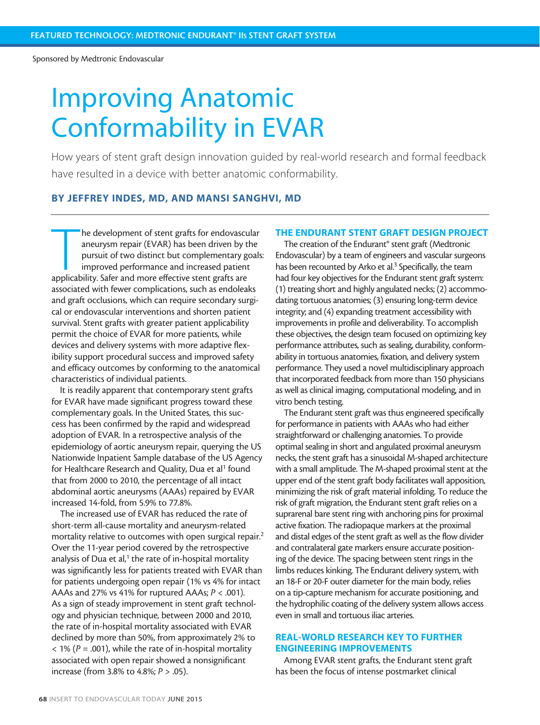Sponsored by Medtronic Endovascular

# Improving Anatomic Conformability in EVAR

How years of stent graft design innovation guided by real-world research and formal feedback have resulted in a device with better anatomic conformability.

# BY JEFFREY INDES, MD, AND MANSI SANGHVI, MD

The development of stent grafts for endovascu<br>
aneurysm repair (EVAR) has been driven by t<br>
pursuit of two distinct but complementary g<br>
improved performance and increased patient<br>
applicability. Safer and more effective s he development of stent grafts for endovascular aneurysm repair (EVAR) has been driven by the pursuit of two distinct but complementary goals: improved performance and increased patient associated with fewer complications, such as endoleaks and graft occlusions, which can require secondary surgical or endovascular interventions and shorten patient survival. Stent grafts with greater patient applicability permit the choice of EVAR for more patients, while devices and delivery systems with more adaptive flexibility support procedural success and improved safety and efficacy outcomes by conforming to the anatomical characteristics of individual patients.

It is readily apparent that contemporary stent grafts for EVAR have made significant progress toward these complementary goals. In the United States, this success has been confirmed by the rapid and widespread adoption of EVAR. In a retrospective analysis of the epidemiology of aortic aneurysm repair, querying the US Nationwide Inpatient Sample database of the US Agency for Healthcare Research and Quality, Dua et al<sup>1</sup> found that from 2000 to 2010, the percentage of all intact abdominal aortic aneurysms (AAAs) repaired by EVAR increased 14-fold, from 5.9% to 77.8%.

The increased use of EVAR has reduced the rate of short-term all-cause mortality and aneurysm-related mortality relative to outcomes with open surgical repair.2 Over the 11-year period covered by the retrospective analysis of Dua et al, $1$  the rate of in-hospital mortality was significantly less for patients treated with EVAR than for patients undergoing open repair (1% vs 4% for intact AAAs and 27% vs 41% for ruptured AAAs; *P* < .001). As a sign of steady improvement in stent graft technology and physician technique, between 2000 and 2010, the rate of in-hospital mortality associated with EVAR declined by more than 50%, from approximately 2% to  $<$  1% ( $P = .001$ ), while the rate of in-hospital mortality associated with open repair showed a nonsignificant increase (from 3.8% to 4.8%; *P* > .05).

#### THE ENDURANT STENT GRAFT DESIGN PROJECT

The creation of the Endurant® stent graft (Medtronic Endovascular) by a team of engineers and vascular surgeons has been recounted by Arko et al.<sup>3</sup> Specifically, the team had four key objectives for the Endurant stent graft system: (1) treating short and highly angulated necks; (2) accommodating tortuous anatomies; (3) ensuring long-term device integrity; and (4) expanding treatment accessibility with improvements in profile and deliverability. To accomplish these objectives, the design team focused on optimizing key performance attributes, such as sealing, durability, conformability in tortuous anatomies, fixation, and delivery system performance. They used a novel multidisciplinary approach that incorporated feedback from more than 150 physicians as well as clinical imaging, computational modeling, and in vitro bench testing.

The Endurant stent graft was thus engineered specifically for performance in patients with AAAs who had either straightforward or challenging anatomies. To provide optimal sealing in short and angulated proximal aneurysm necks, the stent graft has a sinusoidal M-shaped architecture with a small amplitude. The M-shaped proximal stent at the upper end of the stent graft body facilitates wall apposition, minimizing the risk of graft material infolding. To reduce the risk of graft migration, the Endurant stent graft relies on a suprarenal bare stent ring with anchoring pins for proximal active fixation. The radiopaque markers at the proximal and distal edges of the stent graft as well as the flow divider and contralateral gate markers ensure accurate positioning of the device. The spacing between stent rings in the limbs reduces kinking. The Endurant delivery system, with an 18-F or 20-F outer diameter for the main body, relies on a tip-capture mechanism for accurate positioning, and the hydrophilic coating of the delivery system allows access even in small and tortuous iliac arteries.

# REAL-WORLD RESEARCH KEY TO FURTHER ENGINEERING IMPROVEMENTS

Among EVAR stent grafts, the Endurant stent graft has been the focus of intense postmarket clinical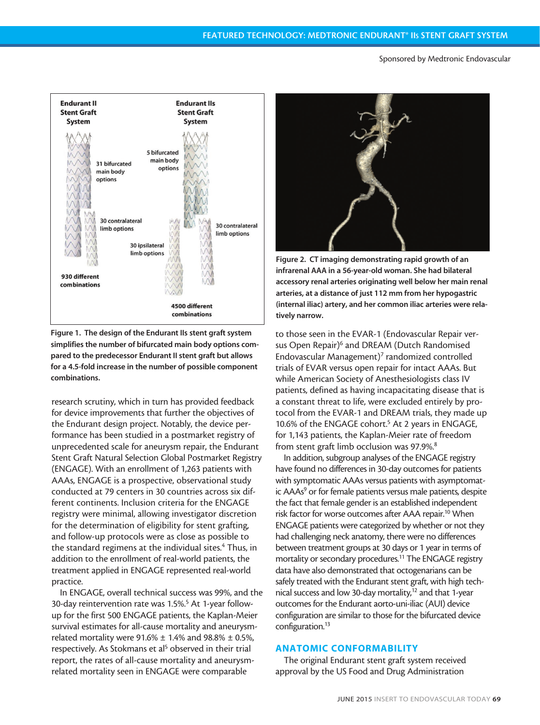Sponsored by Medtronic Endovascular



Figure 1. The design of the Endurant IIs stent graft system simplifies the number of bifurcated main body options compared to the predecessor Endurant II stent graft but allows for a 4.5-fold increase in the number of possible component combinations.

research scrutiny, which in turn has provided feedback for device improvements that further the objectives of the Endurant design project. Notably, the device performance has been studied in a postmarket registry of unprecedented scale for aneurysm repair, the Endurant Stent Graft Natural Selection Global Postmarket Registry (ENGAGE). With an enrollment of 1,263 patients with AAAs, ENGAGE is a prospective, observational study conducted at 79 centers in 30 countries across six different continents. Inclusion criteria for the ENGAGE registry were minimal, allowing investigator discretion for the determination of eligibility for stent grafting, and follow-up protocols were as close as possible to the standard regimens at the individual sites.<sup>4</sup> Thus, in addition to the enrollment of real-world patients, the treatment applied in ENGAGE represented real-world practice.

In ENGAGE, overall technical success was 99%, and the 30-day reintervention rate was 1.5%.<sup>5</sup> At 1-year followup for the first 500 ENGAGE patients, the Kaplan-Meier survival estimates for all-cause mortality and aneurysmrelated mortality were  $91.6\% \pm 1.4\%$  and  $98.8\% \pm 0.5\%$ , respectively. As Stokmans et al<sup>5</sup> observed in their trial report, the rates of all-cause mortality and aneurysmrelated mortality seen in ENGAGE were comparable



Figure 2. CT imaging demonstrating rapid growth of an infrarenal AAA in a 56-year-old woman. She had bilateral accessory renal arteries originating well below her main renal arteries, at a distance of just 112 mm from her hypogastric (internal iliac) artery, and her common iliac arteries were relatively narrow.

to those seen in the EVAR-1 (Endovascular Repair versus Open Repair)<sup>6</sup> and DREAM (Dutch Randomised Endovascular Management)<sup>7</sup> randomized controlled trials of EVAR versus open repair for intact AAAs. But while American Society of Anesthesiologists class IV patients, defined as having incapacitating disease that is a constant threat to life, were excluded entirely by protocol from the EVAR-1 and DREAM trials, they made up 10.6% of the ENGAGE cohort.<sup>5</sup> At 2 years in ENGAGE, for 1,143 patients, the Kaplan-Meier rate of freedom from stent graft limb occlusion was 97.9%.<sup>8</sup>

In addition, subgroup analyses of the ENGAGE registry have found no differences in 30-day outcomes for patients with symptomatic AAAs versus patients with asymptomatic AAAs<sup>9</sup> or for female patients versus male patients, despite the fact that female gender is an established independent risk factor for worse outcomes after AAA repair.<sup>10</sup> When ENGAGE patients were categorized by whether or not they had challenging neck anatomy, there were no differences between treatment groups at 30 days or 1 year in terms of mortality or secondary procedures.<sup>11</sup> The ENGAGE registry data have also demonstrated that octogenarians can be safely treated with the Endurant stent graft, with high technical success and low 30-day mortality,<sup>12</sup> and that 1-year outcomes for the Endurant aorto-uni-iliac (AUI) device configuration are similar to those for the bifurcated device configuration.<sup>13</sup>

### ANATOMIC CONFORMABILITY

The original Endurant stent graft system received approval by the US Food and Drug Administration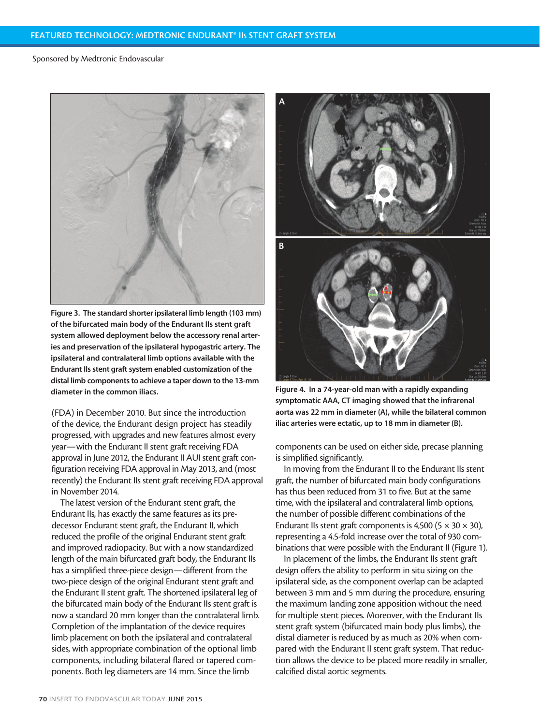#### Sponsored by Medtronic Endovascular



Figure 3. The standard shorter ipsilateral limb length (103 mm) of the bifurcated main body of the Endurant IIs stent graft system allowed deployment below the accessory renal arteries and preservation of the ipsilateral hypogastric artery. The ipsilateral and contralateral limb options available with the Endurant IIs stent graft system enabled customization of the distal limb components to achieve a taper down to the 13-mm diameter in the common iliacs.

(FDA) in December 2010. But since the introduction of the device, the Endurant design project has steadily progressed, with upgrades and new features almost every year—with the Endurant II stent graft receiving FDA approval in June 2012, the Endurant II AUI stent graft configuration receiving FDA approval in May 2013, and (most recently) the Endurant IIs stent graft receiving FDA approval in November 2014.

The latest version of the Endurant stent graft, the Endurant IIs, has exactly the same features as its predecessor Endurant stent graft, the Endurant II, which reduced the profile of the original Endurant stent graft and improved radiopacity. But with a now standardized length of the main bifurcated graft body, the Endurant IIs has a simplified three-piece design—different from the two-piece design of the original Endurant stent graft and the Endurant II stent graft. The shortened ipsilateral leg of the bifurcated main body of the Endurant IIs stent graft is now a standard 20 mm longer than the contralateral limb. Completion of the implantation of the device requires limb placement on both the ipsilateral and contralateral sides, with appropriate combination of the optional limb components, including bilateral flared or tapered components. Both leg diameters are 14 mm. Since the limb



Figure 4. In a 74-year-old man with a rapidly expanding symptomatic AAA, CT imaging showed that the infrarenal aorta was 22 mm in diameter (A), while the bilateral common iliac arteries were ectatic, up to 18 mm in diameter (B).

components can be used on either side, precase planning is simplified significantly.

In moving from the Endurant II to the Endurant IIs stent graft, the number of bifurcated main body configurations has thus been reduced from 31 to five. But at the same time, with the ipsilateral and contralateral limb options, the number of possible different combinations of the Endurant IIs stent graft components is 4,500 (5  $\times$  30  $\times$  30), representing a 4.5-fold increase over the total of 930 combinations that were possible with the Endurant II (Figure 1).

In placement of the limbs, the Endurant IIs stent graft design offers the ability to perform in situ sizing on the ipsilateral side, as the component overlap can be adapted between 3 mm and 5 mm during the procedure, ensuring the maximum landing zone apposition without the need for multiple stent pieces. Moreover, with the Endurant IIs stent graft system (bifurcated main body plus limbs), the distal diameter is reduced by as much as 20% when compared with the Endurant II stent graft system. That reduction allows the device to be placed more readily in smaller, calcified distal aortic segments.